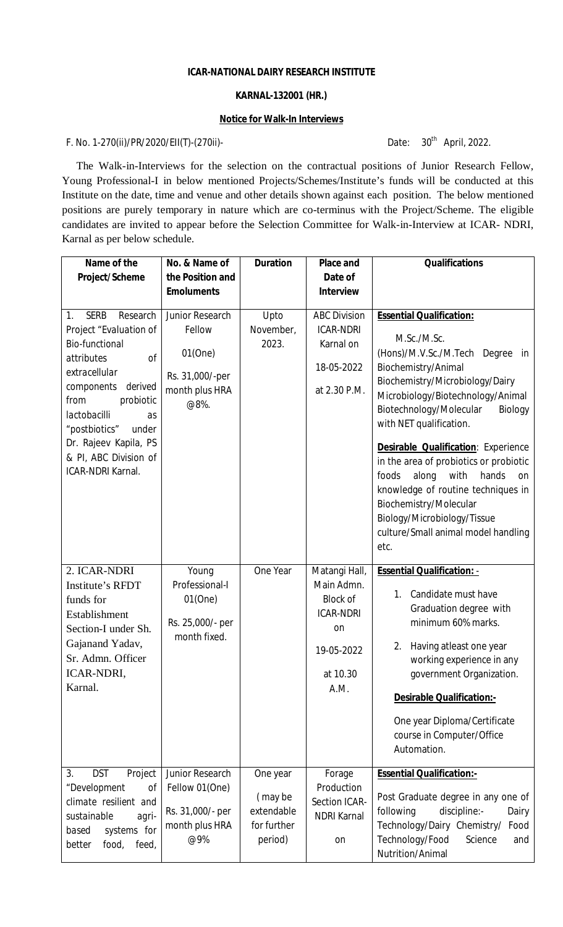# **ICAR-NATIONAL** *DAIRY* **RESEARCH INSTITUTE**

#### **KARNAL-132001 (HR.)**

#### **Notice for Walk-In Interviews**

## F. No. 1-270(ii)/PR/2020/EII(T)-(270ii)-

Date: 30<sup>th</sup> April, 2022.

The Walk-in-Interviews for the selection on the contractual positions of Junior Research Fellow, Young Professional-I in below mentioned Projects/Schemes/Institute's funds will be conducted at this Institute on the date, time and venue and other details shown against each position. The below mentioned positions are purely temporary in nature which are co-terminus with the Project/Scheme. The eligible candidates are invited to appear before the Selection Committee for Walk-in-Interview at ICAR- NDRI, Karnal as per below schedule.

| Name of the                                                                                                                                                                                                                                                                                | No. & Name of                                                                     | <b>Duration</b>                                             | <b>Place and</b>                                                                                                  | <b>Qualifications</b>                                                                                                                                                                                                                                                                                                                                                                                                                                                                                                     |
|--------------------------------------------------------------------------------------------------------------------------------------------------------------------------------------------------------------------------------------------------------------------------------------------|-----------------------------------------------------------------------------------|-------------------------------------------------------------|-------------------------------------------------------------------------------------------------------------------|---------------------------------------------------------------------------------------------------------------------------------------------------------------------------------------------------------------------------------------------------------------------------------------------------------------------------------------------------------------------------------------------------------------------------------------------------------------------------------------------------------------------------|
| Project/Scheme                                                                                                                                                                                                                                                                             | the Position and                                                                  |                                                             | Date of                                                                                                           |                                                                                                                                                                                                                                                                                                                                                                                                                                                                                                                           |
|                                                                                                                                                                                                                                                                                            | <b>Emoluments</b>                                                                 |                                                             | <b>Interview</b>                                                                                                  |                                                                                                                                                                                                                                                                                                                                                                                                                                                                                                                           |
| <b>SERB</b><br>Research<br>1.<br>Project "Evaluation of<br><b>Bio-functional</b><br>οf<br>attributes<br>extracellular<br>derived<br>components<br>probiotic<br>from<br>lactobacilli<br>as<br>"postbiotics"<br>under<br>Dr. Rajeev Kapila, PS<br>& PI, ABC Division of<br>ICAR-NDRI Karnal. | Junior Research<br>Fellow<br>01(One)<br>Rs. 31,000/-per<br>month plus HRA<br>@8%. | Upto<br>November,<br>2023.                                  | <b>ABC Division</b><br><b>ICAR-NDRI</b><br>Karnal on<br>18-05-2022<br>at 2.30 P.M.                                | <b>Essential Qualification:</b><br>M.Sc./M.Sc.<br>(Hons)/M.V.Sc./M.Tech Degree in<br>Biochemistry/Animal<br>Biochemistry/Microbiology/Dairy<br>Microbiology/Biotechnology/Animal<br>Biotechnology/Molecular<br>Biology<br>with NET qualification.<br>Desirable Qualification: Experience<br>in the area of probiotics or probiotic<br>foods<br>along<br>with<br>hands<br>on<br>knowledge of routine techniques in<br>Biochemistry/Molecular<br>Biology/Microbiology/Tissue<br>culture/Small animal model handling<br>etc. |
| 2. ICAR-NDRI<br>Institute's RFDT<br>funds for<br>Establishment<br>Section-I under Sh.<br>Gajanand Yadav,<br>Sr. Admn. Officer<br>ICAR-NDRI,<br>Karnal.                                                                                                                                     | Young<br>Professional-I<br>$01$ (One)<br>Rs. 25,000/- per<br>month fixed.         | One Year                                                    | Matangi Hall,<br>Main Admn.<br><b>Block of</b><br><b>ICAR-NDRI</b><br><b>on</b><br>19-05-2022<br>at 10.30<br>A.M. | <b>Essential Qualification: -</b><br>Candidate must have<br>1.<br>Graduation degree with<br>minimum 60% marks.<br>Having atleast one year<br>2.<br>working experience in any<br>government Organization.<br><b>Desirable Qualification:-</b><br>One year Diploma/Certificate<br>course in Computer/Office<br>Automation.                                                                                                                                                                                                  |
| <b>DST</b><br>Project<br>3.<br>"Development<br>οf<br>climate resilient and<br>sustainable<br>agri-<br>systems for<br>based<br>food,<br>feed,<br>better                                                                                                                                     | Junior Research<br>Fellow 01(One)<br>Rs. 31,000/- per<br>month plus HRA<br>@9%    | One year<br>(may be<br>extendable<br>for further<br>period) | Forage<br>Production<br>Section ICAR-<br><b>NDRI Karnal</b><br>on                                                 | <b>Essential Qualification:-</b><br>Post Graduate degree in any one of<br>discipline:-<br>following<br>Dairy<br>Technology/Dairy Chemistry/<br>Food<br>Technology/Food<br>Science<br>and<br>Nutrition/Animal                                                                                                                                                                                                                                                                                                              |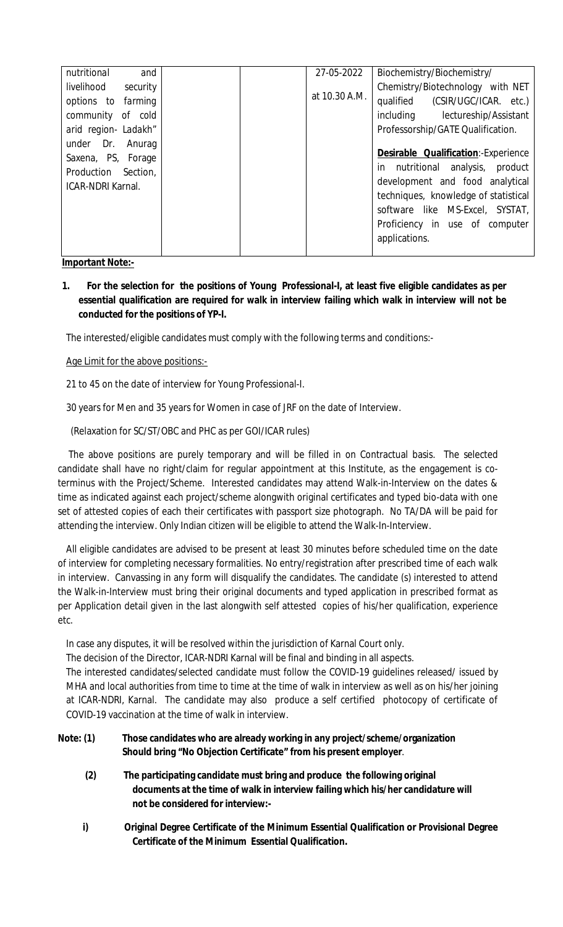| nutritional<br>and       |  | 27-05-2022    | Biochemistry/Biochemistry/                  |
|--------------------------|--|---------------|---------------------------------------------|
| livelihood<br>security   |  |               | Chemistry/Biotechnology with NET            |
| options to farming       |  | at 10.30 A.M. | qualified (CSIR/UGC/ICAR. etc.)             |
| community of cold        |  |               | including lectureship/Assistant             |
| arid region- Ladakh"     |  |               | Professorship/GATE Qualification.           |
| under Dr. Anurag         |  |               |                                             |
| Saxena, PS, Forage       |  |               | <b>Desirable Qualification:</b> -Experience |
| Production Section,      |  |               | in nutritional analysis, product            |
| <b>ICAR-NDRI Karnal.</b> |  |               | development and food analytical             |
|                          |  |               | techniques, knowledge of statistical        |
|                          |  |               | software like MS-Excel, SYSTAT,             |
|                          |  |               | Proficiency in use of computer              |
|                          |  |               | applications.                               |
|                          |  |               |                                             |

**Important Note:-**

**1. For the selection for the positions of Young Professional-I, at least five eligible candidates as per essential qualification are required for walk in interview failing which walk in interview will not be conducted for the positions of YP-I.**

The interested/eligible candidates must comply with the following terms and conditions:-

Age Limit for the above positions:-

21 to 45 on the date of interview for Young Professional-I.

30 years for Men and 35 years for Women in case of JRF on the date of Interview.

(Relaxation for SC/ST/OBC and PHC as per GOI/ICAR rules)

 The above positions are purely temporary and will be filled in on Contractual basis. The selected candidate shall have no right/claim for regular appointment at this Institute, as the engagement is coterminus with the Project/Scheme. Interested candidates may attend Walk-in-Interview on the dates & time as indicated against each project/scheme alongwith original certificates and typed bio-data with one set of attested copies of each their certificates with passport size photograph. No TA/DA will be paid for attending the interview. Only Indian citizen will be eligible to attend the Walk-In-Interview.

All eligible candidates are advised to be present at least 30 minutes before scheduled time on the date of interview for completing necessary formalities. No entry/registration after prescribed time of each walk in interview. Canvassing in any form will disqualify the candidates. The candidate (s) interested to attend the Walk-in-Interview must bring their original documents and typed application in prescribed format as per Application detail given in the last alongwith self attested copies of his/her qualification, experience etc.

In case any disputes, it will be resolved within the jurisdiction of Karnal Court only.

The decision of the Director, ICAR-NDRI Karnal will be final and binding in all aspects.

The interested candidates/selected candidate must follow the COVID-19 guidelines released/ issued by MHA and local authorities from time to time at the time of walk in interview as well as on his/her joining at ICAR-NDRI, Karnal. The candidate may also produce a self certified photocopy of certificate of COVID-19 vaccination at the time of walk in interview.

| Note: (1) | Those candidates who are already working in any project/scheme/organization |
|-----------|-----------------------------------------------------------------------------|
|           | Should bring "No Objection Certificate" from his present employer.          |

- **(2) The participating candidate must bring and produce the following original documents at the time of walk in interview failing which his/her candidature will not be considered for interview:-**
- **i) Original Degree Certificate of the Minimum Essential Qualification or Provisional Degree Certificate of the Minimum Essential Qualification.**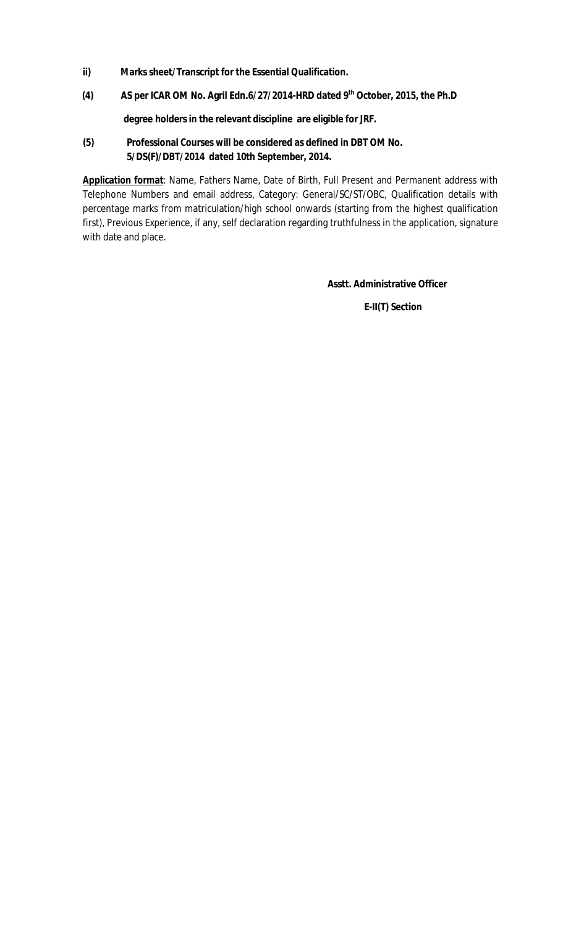- **ii) Marks sheet/Transcript for the Essential Qualification.**
- **(4) AS per ICAR OM No. Agril Edn.6/27/2014-HRD dated 9th October, 2015, the Ph.D**

 **degree holders in the relevant discipline are eligible for JRF.** 

**(5) Professional Courses will be considered as defined in DBT OM No. 5/DS(F)/DBT/2014 dated 10th September, 2014.**

**Application format**: Name, Fathers Name, Date of Birth, Full Present and Permanent address with Telephone Numbers and email address, Category: General/SC/ST/OBC, Qualification details with percentage marks from matriculation/high school onwards (starting from the highest qualification first), Previous Experience, if any, self declaration regarding truthfulness in the application, signature with date and place.

**Asstt. Administrative Officer**

**E-II(T) Section**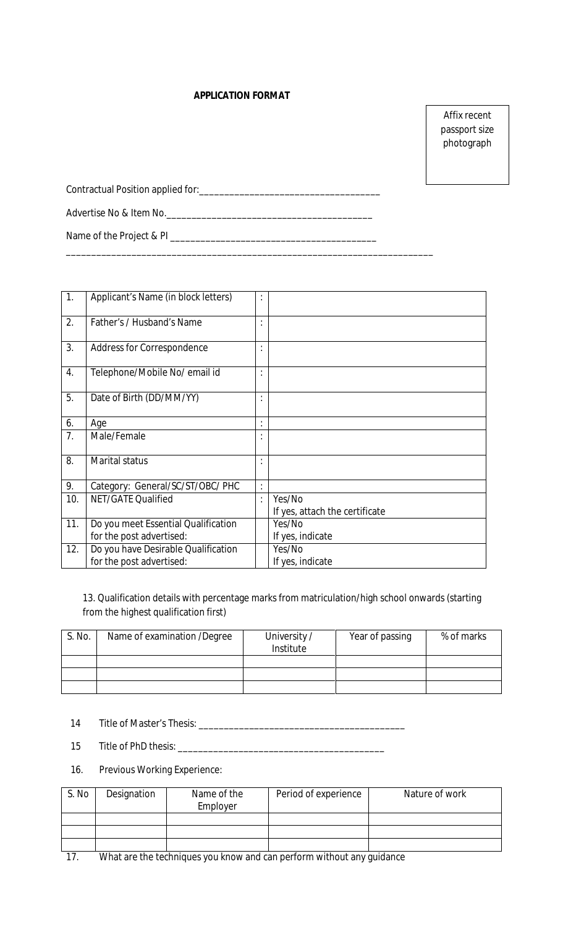### **APPLICATION FORMAT**

Affix recent passport size photograph

| Contractual Position applied for: |  |
|-----------------------------------|--|
| Advertise No & Item No.           |  |
| Name of the Project & PI          |  |

\_\_\_\_\_\_\_\_\_\_\_\_\_\_\_\_\_\_\_\_\_\_\_\_\_\_\_\_\_\_\_\_\_\_\_\_\_\_\_\_\_\_\_\_\_\_\_\_\_\_\_\_\_\_\_\_\_\_\_\_\_\_\_\_\_\_\_\_\_\_\_\_\_

| 1.  | Applicant's Name (in block letters) | $\ddot{\cdot}$ |                                |
|-----|-------------------------------------|----------------|--------------------------------|
| 2.  | Father's / Husband's Name           | $\cdot$        |                                |
| 3.  | Address for Correspondence          |                |                                |
| 4.  | Telephone/Mobile No/ email id       | $\cdot$        |                                |
| 5.  | Date of Birth (DD/MM/YY)            | ٠              |                                |
| 6.  | Age                                 |                |                                |
| 7.  | Male/Female                         |                |                                |
| 8.  | <b>Marital status</b>               |                |                                |
| 9.  | Category: General/SC/ST/OBC/ PHC    | $\bullet$      |                                |
| 10. | <b>NET/GATE Qualified</b>           | $\bullet$      | Yes/No                         |
|     |                                     |                | If yes, attach the certificate |
| 11. | Do you meet Essential Qualification |                | Yes/No                         |
|     | for the post advertised:            |                | If yes, indicate               |
| 12. | Do you have Desirable Qualification |                | Yes/No                         |
|     | for the post advertised:            |                | If yes, indicate               |

13. Qualification details with percentage marks from matriculation/high school onwards (starting from the highest qualification first)

| S. No. | Name of examination /Degree | University /<br>Institute | Year of passing | % of marks |
|--------|-----------------------------|---------------------------|-----------------|------------|
|        |                             |                           |                 |            |
|        |                             |                           |                 |            |
|        |                             |                           |                 |            |

- 14 Title of Master's Thesis: \_\_\_\_\_\_\_\_\_\_\_\_\_\_\_\_\_\_\_\_\_\_\_\_\_\_\_\_\_\_\_\_\_\_\_\_\_\_\_\_\_
- 15 Title of PhD thesis: \_\_\_\_\_\_\_\_\_\_\_\_\_\_\_\_\_\_\_\_\_\_\_\_\_\_\_\_\_\_\_\_\_\_\_\_\_\_\_\_\_
- 16. Previous Working Experience:

| S. No | Designation                                                           | Name of the<br>Employer | Period of experience | Nature of work |
|-------|-----------------------------------------------------------------------|-------------------------|----------------------|----------------|
|       |                                                                       |                         |                      |                |
|       |                                                                       |                         |                      |                |
|       |                                                                       |                         |                      |                |
| 17    | What are the techniques you know and can perform without any quidance |                         |                      |                |

17. What are the techniques you know and can perform without any guidance